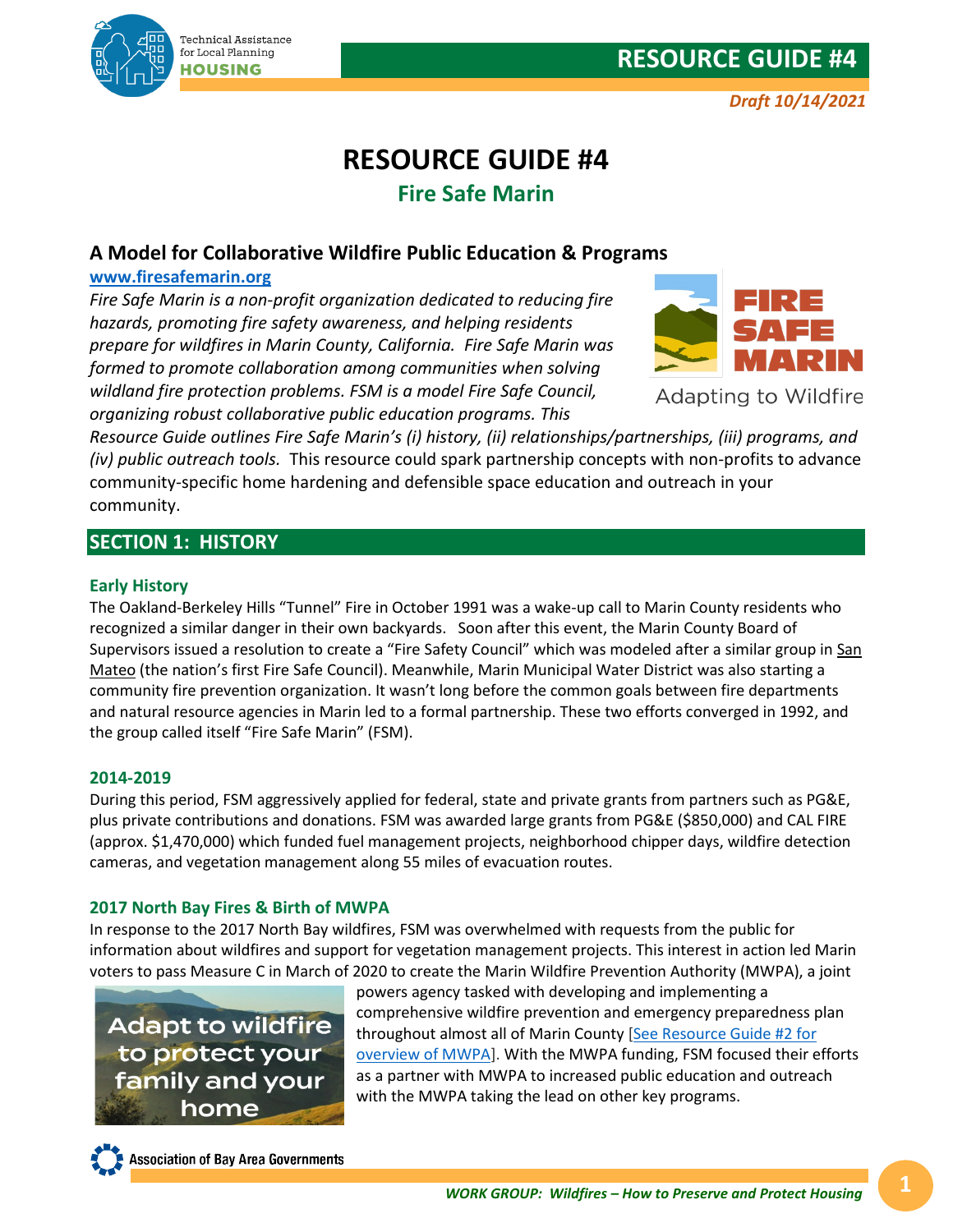

*Draft 10/14/2021*

# **RESOURCE GUIDE #4 Fire Safe Marin**

# **A Model for Collaborative Wildfire Public Education & Programs**

# **[www.firesafemarin.org](https://firesafemarin.org/)**

*Fire Safe Marin is a non-profit organization dedicated to reducing fire hazards, promoting fire safety awareness, and helping residents prepare for wildfires in Marin County, California. Fire Safe Marin was formed to promote collaboration among communities when solving wildland fire protection problems. FSM is a model Fire Safe Council, organizing robust collaborative public education programs. This* 



Adapting to Wildfire

*Resource Guide outlines Fire Safe Marin's (i) history, (ii) relationships/partnerships, (iii) programs, and (iv) public outreach tools.* This resource could spark partnership concepts with non-profits to advance community-specific home hardening and defensible space education and outreach in your community.

# **SECTION 1: HISTORY**

# **Early History**

The Oakland-Berkeley Hills "Tunnel" Fire in October 1991 was a wake-up call to Marin County residents who recognized a similar danger in their own backyards. Soon after this event, the Marin County Board of Supervisors issued a resolution to create a "Fire Safety Council" which was modeled after a similar group in San [Mateo](http://www.firesafesanmateo.org/) (the nation's first Fire Safe Council). Meanwhile, Marin Municipal Water District was also starting a community fire prevention organization. It wasn't long before the common goals between fire departments and natural resource agencies in Marin led to a formal partnership. These two efforts converged in 1992, and the group called itself "Fire Safe Marin" (FSM).

# **2014-2019**

During this period, FSM aggressively applied for federal, state and private grants from partners such as PG&E, plus private contributions and donations. FSM was awarded large grants from PG&E (\$850,000) and CAL FIRE (approx. \$1,470,000) which funded fuel management projects, neighborhood chipper days, wildfire detection cameras, and vegetation management along 55 miles of evacuation routes.

# **2017 North Bay Fires & Birth of MWPA**

In response to the 2017 North Bay wildfires, FSM was overwhelmed with requests from the public for information about wildfires and support for vegetation management projects. This interest in action led Marin voters to pass Measure C in March of 2020 to create the Marin Wildfire Prevention Authority (MWPA), a joint

**Adapt to wildfire** to protect your family and your home

powers agency tasked with developing and implementing a comprehensive wildfire prevention and emergency preparedness plan throughout almost all of Marin County [\[See Resource Guide #2 for](https://abag.ca.gov/sites/default/files/documents/2021-10/RG02_MWPA.pdf)  [overview of MWPA\]](https://abag.ca.gov/sites/default/files/documents/2021-10/RG02_MWPA.pdf). With the MWPA funding, FSM focused their efforts as a partner with MWPA to increased public education and outreach with the MWPA taking the lead on other key programs.

**Association of Bay Area Governments**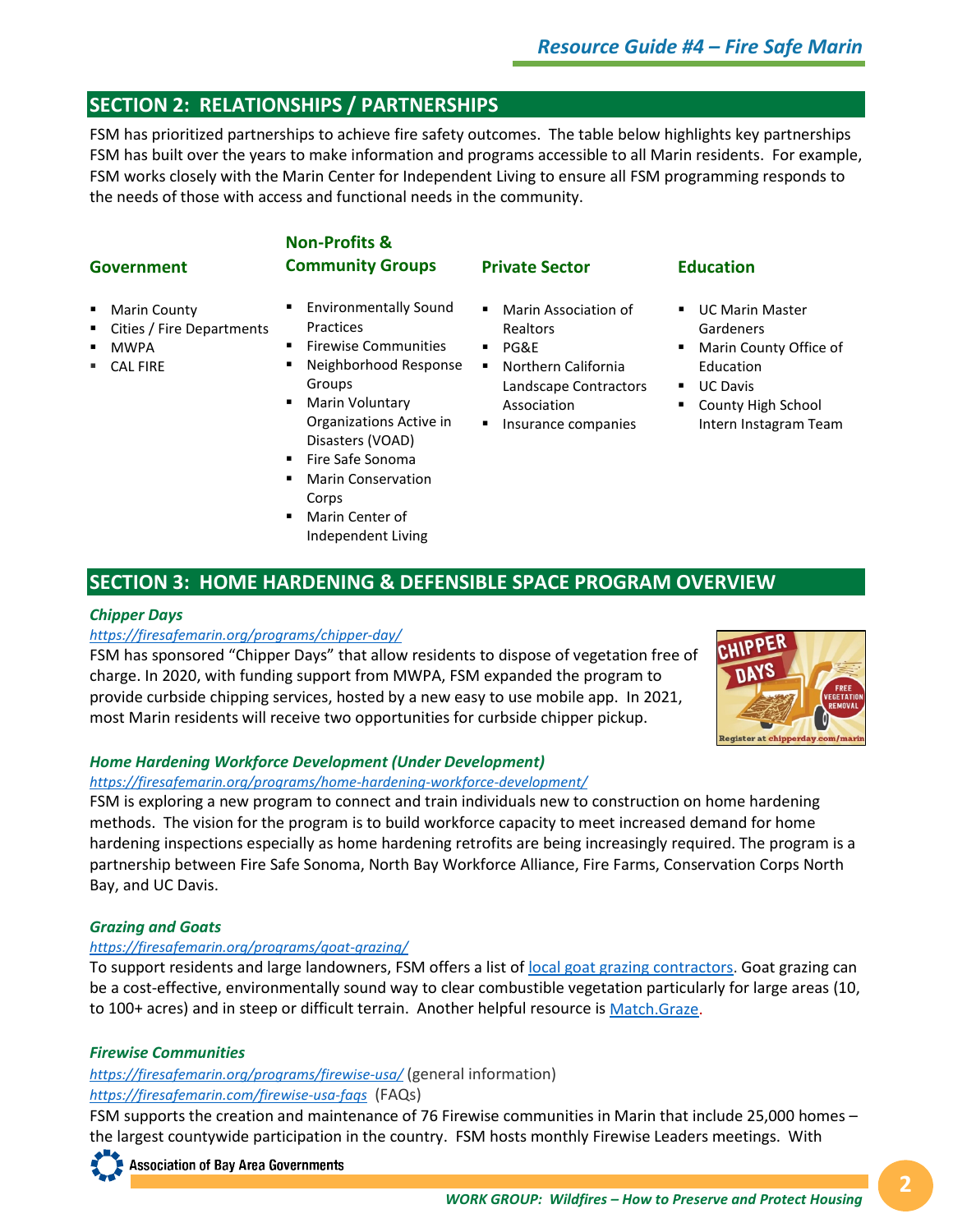# **SECTION 2: RELATIONSHIPS / PARTNERSHIPS**

FSM has prioritized partnerships to achieve fire safety outcomes. The table below highlights key partnerships FSM has built over the years to make information and programs accessible to all Marin residents. For example, FSM works closely with the Marin Center for Independent Living to ensure all FSM programming responds to the needs of those with access and functional needs in the community.

# **Government**

# **Community Groups**

**Non-Profits &** 

- **Marin County**
- Cities / Fire Departments
- MWPA
- CAL FIRE
- Environmentally Sound **Practices**
- Firewise Communities
- Neighborhood Response Groups
- **Marin Voluntary** Organizations Active in Disasters (VOAD)
- Fire Safe Sonoma
- Marin Conservation Corps
- **Marin Center of** Independent Living
- **Private Sector**
- **Marin Association of** Realtors
- PG&E
- **•** Northern California Landscape Contractors Association
- **Insurance companies**

# **Education**

- **UC Marin Master** Gardeners
- **Marin County Office of** Education
- **UC Davis**
- **County High School** Intern Instagram Team

# **SECTION 3: HOME HARDENING & DEFENSIBLE SPACE PROGRAM OVERVIEW**

#### *Chipper Days*

#### *<https://firesafemarin.org/programs/chipper-day/>*

FSM has sponsored "Chipper Days" that allow residents to dispose of vegetation free of charge. In 2020, with funding support from MWPA, FSM expanded the program to provide curbside chipping services, hosted by a new easy to use mobile app. In 2021, most Marin residents will receive two opportunities for curbside chipper pickup.



#### *Home Hardening Workforce Development (Under Development)*

#### *<https://firesafemarin.org/programs/home-hardening-workforce-development/>*

FSM is exploring a new program to connect and train individuals new to construction on home hardening methods. The vision for the program is to build workforce capacity to meet increased demand for home hardening inspections especially as home hardening retrofits are being increasingly required. The program is a partnership between Fire Safe Sonoma, North Bay Workforce Alliance, Fire Farms, Conservation Corps North Bay, and UC Davis.

# *Grazing and Goats*

# *<https://firesafemarin.org/programs/goat-grazing/>*

To support residents and large landowners, FSM offers a list o[f local goat grazing contractors.](https://firesafemarin.org/resources/contractors/) Goat grazing can be a cost-effective, environmentally sound way to clear combustible vegetation particularly for large areas (10, to 100+ acres) and in steep or difficult terrain. Another helpful resource is [Match.Graze.](https://cesonoma.ucanr.edu/Match.Graze/)

# *Firewise Communities*

*<https://firesafemarin.org/programs/firewise-usa/>* (general information) *<https://firesafemarin.com/firewise-usa-faqs>* (FAQs)

FSM supports the creation and maintenance of 76 Firewise communities in Marin that include 25,000 homes – the largest countywide participation in the country. FSM hosts monthly Firewise Leaders meetings. With

**Association of Bay Area Governments**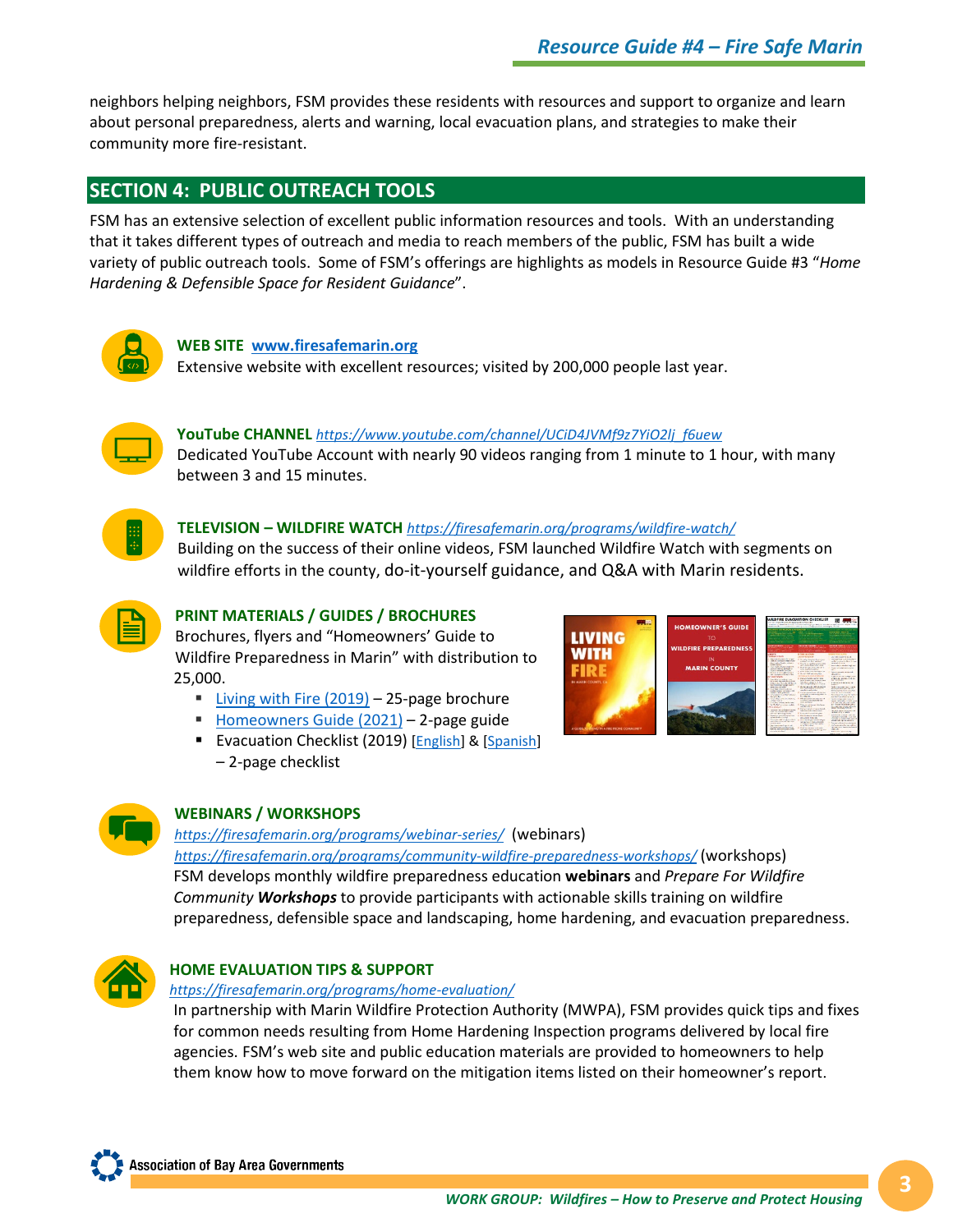neighbors helping neighbors, FSM provides these residents with resources and support to organize and learn about personal preparedness, alerts and warning, local evacuation plans, and strategies to make their community more fire-resistant.

# **SECTION 4: PUBLIC OUTREACH TOOLS**

FSM has an extensive selection of excellent public information resources and tools. With an understanding that it takes different types of outreach and media to reach members of the public, FSM has built a wide variety of public outreach tools. Some of FSM's offerings are highlights as models in Resource Guide #3 "*Home Hardening & Defensible Space for Resident Guidance*".



#### **WEB SITE [www.firesafemarin.org](http://www.firesafemarin.org/)**

Extensive website with excellent resources; visited by 200,000 people last year.



#### **YouTube CHANNEL** *[https://www.youtube.com/channel/UCiD4JVMf9z7YiO2lj\\_f6uew](https://www.youtube.com/channel/UCiD4JVMf9z7YiO2lj_f6uew)* Dedicated YouTube Account with nearly 90 videos ranging from 1 minute to 1 hour, with many between 3 and 15 minutes.

#### **TELEVISION – WILDFIRE WATCH** *<https://firesafemarin.org/programs/wildfire-watch/>*

Building on the success of their online videos, FSM launched Wildfire Watch with segments on wildfire efforts in the county, do-it-yourself guidance, and Q&A with Marin residents.



#### **PRINT MATERIALS / GUIDES / BROCHURES**

Brochures, flyers and "Homeowners' Guide to Wildfire Preparedness in Marin" with distribution to 25,000.

- [Living with Fire \(2019\)](https://firesafemarin.org/wp-content/uploads/2013/03/FSM_2019_living_with_fire_FINAL_V2_WEB.pdf) 25-page brochure
- Homeowners Guide  $(2021) 2$ -page guide
- Evacuation Checklist (2019) [*English*] & [\[Spanish\]](https://firesafemarin.org/wp-content/uploads/2020/10/Espanol_Evac_Checklist_2020.pdf) – 2-page checklist





#### **WEBINARS / WORKSHOPS**

*<https://firesafemarin.org/programs/webinar-series/>*(webinars) *<https://firesafemarin.org/programs/community-wildfire-preparedness-workshops/>* (workshops) FSM develops monthly wildfire preparedness education **webinars** and *Prepare For Wildfire Community Workshops* to provide participants with actionable skills training on wildfire preparedness, defensible space and landscaping, home hardening, and evacuation preparedness.



# **HOME EVALUATION TIPS & SUPPORT**

#### *<https://firesafemarin.org/programs/home-evaluation/>*

In partnership with Marin Wildfire Protection Authority (MWPA), FSM provides quick tips and fixes for common needs resulting from Home Hardening Inspection programs delivered by local fire agencies. FSM's web site and public education materials are provided to homeowners to help them know how to move forward on the mitigation items listed on their homeowner's report.